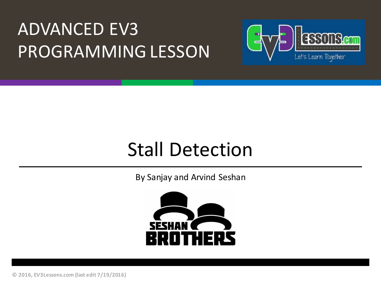## **ADVANCED EV3** PROGRAMMING LESSON



## **Stall Detection**

By Sanjay and Arvind Seshan



**© 2016, EV3Lessons.com (last edit 7/19/2016)**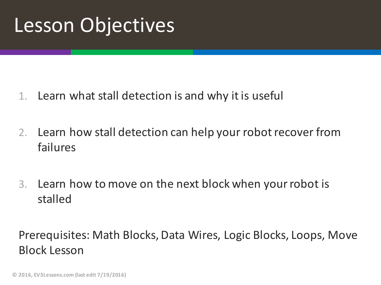## Lesson Objectives

- 1. Learn what stall detection is and why it is useful
- 2. Learn how stall detection can help your robot recover from failures
- 3. Learn how to move on the next block when your robot is stalled

Prerequisites: Math Blocks, Data Wires, Logic Blocks, Loops, Move Block Lesson

**© 2016, EV3Lessons.com (last edit 7/19/2016)**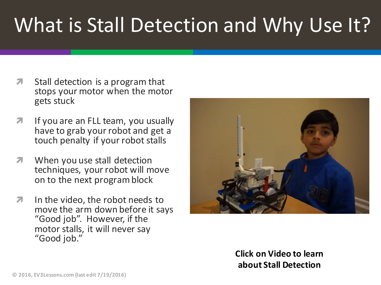# What is Stall Detection and Why Use It?

- $\lambda$  Stall detection is a program that stops your motor when the motor gets stuck
- $\lambda$  If you are an FLL team, you usually have to grab your robot and get a touch penalty if your robot stalls
- $\sqrt{ }$  When you use stall detection techniques, your robot will move on to the next program block
- $\lambda$  In the video, the robot needs to move the arm down before it says "Good job". However, if the motor stalls, it will never say "Good job."



**Click on Video to learn about Stall Detection**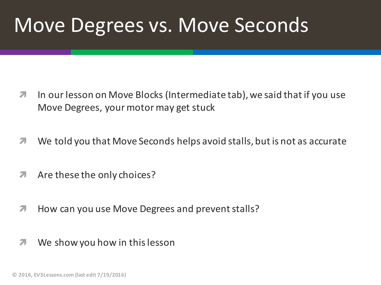## Move Degrees vs. Move Seconds

- **7** In our lesson on Move Blocks (Intermediate tab), we said that if you use Move Degrees, your motor may get stuck
- $\blacktriangledown$  We told you that Move Seconds helps avoid stalls, but is not as accurate
- $\pi$  Are these the only choices?
- **7** How can you use Move Degrees and prevent stalls?
- $\lambda$  We show you how in this lesson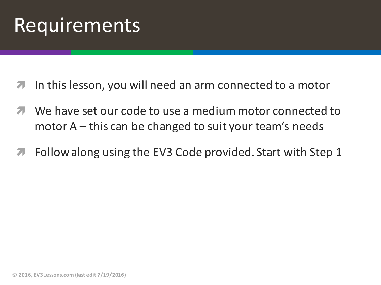## Requirements

- In this lesson, you will need an arm connected to a motor
- We have set our code to use a medium motor connected to motor  $A$  – this can be changed to suit your team's needs
- **7** Follow along using the EV3 Code provided. Start with Step 1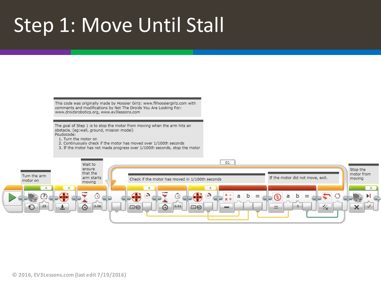## Step 1: Move Until Stall

This code was originally made by Hoosier Girlz: www.fllhoosiergirlz.com with comments and modifications by Not The Droids You Are Looking For: www.droidsrobotics.org, www.ev3lessons.com

The goal of Step 1 is to stop the motor from moving when the arm hits an obstacle. (eq:wall, ground, mission model) Psudocode:

- 1. Turn the motor on
- 2. Continuously check if the motor has moved over 1/100th seconds
- 3. If the motor has not made progress over 1/100th seconds, stop the motor

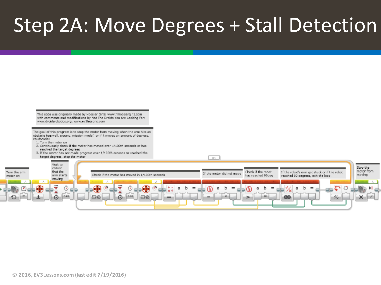## Step 2A: Move Degrees + Stall Detection

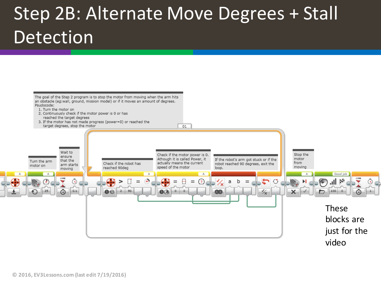## Step 2B: Alternate Move Degrees + Stall Detection

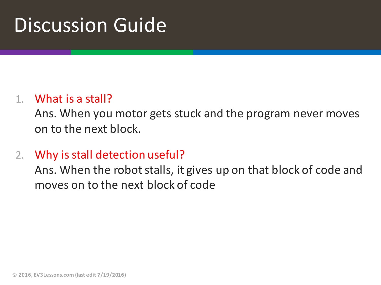## Discussion Guide

#### 1. What is a stall?

Ans. When you motor gets stuck and the program never moves on to the next block.

2. Why is stall detection useful?

Ans. When the robot stalls, it gives up on that block of code and moves on to the next block of code